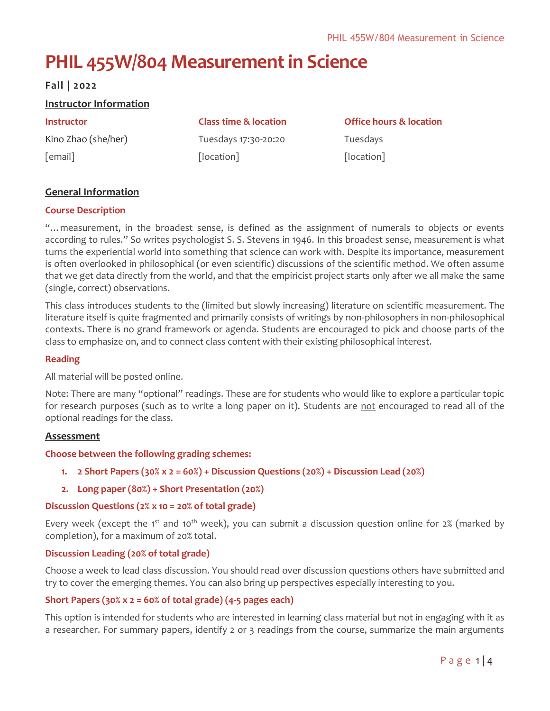# **PHIL 455W/804 Measurement in Science**

# **Fall | 2022**

# **Instructor Information**

[email]

Kino Zhao (she/her)

Tuesdays 17:30-20:20 [location]

**Instructor Class time & location Office hours & location** Tuesdays [location]

# **General Information**

### **Course Description**

"…measurement, in the broadest sense, is defined as the assignment of numerals to objects or events according to rules." So writes psychologist S. S. Stevens in 1946. In this broadest sense, measurement is what turns the experiential world into something that science can work with. Despite its importance, measurement is often overlooked in philosophical (or even scientific) discussions of the scientific method. We often assume that we get data directly from the world, and that the empiricist project starts only after we all make the same (single, correct) observations.

This class introduces students to the (limited but slowly increasing) literature on scientific measurement. The literature itself is quite fragmented and primarily consists of writings by non-philosophers in non-philosophical contexts. There is no grand framework or agenda. Students are encouraged to pick and choose parts of the class to emphasize on, and to connect class content with their existing philosophical interest.

#### **Reading**

All material will be posted online.

Note: There are many "optional" readings. These are for students who would like to explore a particular topic for research purposes (such as to write a long paper on it). Students are not encouraged to read all of the optional readings for the class.

#### **Assessment**

#### **Choose between the following grading schemes:**

- **1. 2 Short Papers (30% x 2 = 60%) + Discussion Questions (20%) + Discussion Lead (20%)**
- **2. Long paper (80%) + Short Presentation (20%)**

#### **Discussion Questions (2% x 10 = 20% of total grade)**

Every week (except the 1<sup>st</sup> and 10<sup>th</sup> week), you can submit a discussion question online for 2% (marked by completion), for a maximum of 20% total.

#### **Discussion Leading (20% of total grade)**

Choose a week to lead class discussion. You should read over discussion questions others have submitted and try to cover the emerging themes. You can also bring up perspectives especially interesting to you.

# **Short Papers (30% x 2 = 60% of total grade) (4-5 pages each)**

This option is intended for students who are interested in learning class material but not in engaging with it as a researcher. For summary papers, identify 2 or 3 readings from the course, summarize the main arguments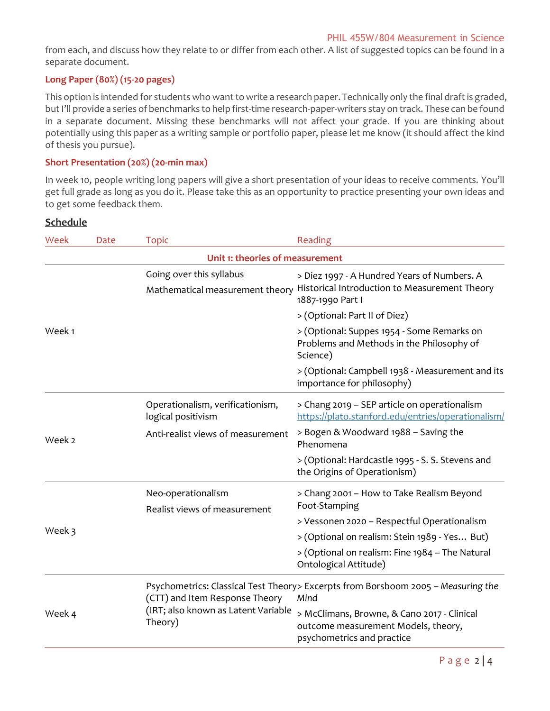from each, and discuss how they relate to or differ from each other. A list of suggested topics can be found in a separate document.

# **Long Paper (80%) (15-20 pages)**

This option is intended for students who want to write a research paper. Technically only the final draft is graded, but I'll provide a series of benchmarks to help first-time research-paper-writers stay on track. These can be found in a separate document. Missing these benchmarks will not affect your grade. If you are thinking about potentially using this paper as a writing sample or portfolio paper, please let me know (it should affect the kind of thesis you pursue).

#### **Short Presentation (20%) (20-min max)**

In week 10, people writing long papers will give a short presentation of your ideas to receive comments. You'll get full grade as long as you do it. Please take this as an opportunity to practice presenting your own ideas and to get some feedback them.

# **Schedule**

| Week   | Date                            | <b>Topic</b>                                                | Reading                                                                                                          |  |  |  |
|--------|---------------------------------|-------------------------------------------------------------|------------------------------------------------------------------------------------------------------------------|--|--|--|
|        | Unit 1: theories of measurement |                                                             |                                                                                                                  |  |  |  |
| Week 1 |                                 | Going over this syllabus<br>Mathematical measurement theory | > Diez 1997 - A Hundred Years of Numbers. A<br>Historical Introduction to Measurement Theory<br>1887-1990 Part I |  |  |  |
|        |                                 |                                                             | > (Optional: Part II of Diez)                                                                                    |  |  |  |
|        |                                 |                                                             | > (Optional: Suppes 1954 - Some Remarks on<br>Problems and Methods in the Philosophy of<br>Science)              |  |  |  |
|        |                                 |                                                             | > (Optional: Campbell 1938 - Measurement and its<br>importance for philosophy)                                   |  |  |  |
| Week 2 |                                 | Operationalism, verificationism,<br>logical positivism      | > Chang 2019 - SEP article on operationalism<br>https://plato.stanford.edu/entries/operationalism/               |  |  |  |
|        |                                 | Anti-realist views of measurement                           | > Bogen & Woodward 1988 - Saving the<br>Phenomena                                                                |  |  |  |
|        |                                 |                                                             | > (Optional: Hardcastle 1995 - S. S. Stevens and<br>the Origins of Operationism)                                 |  |  |  |
|        |                                 | Neo-operationalism<br>Realist views of measurement          | > Chang 2001 - How to Take Realism Beyond<br>Foot-Stamping                                                       |  |  |  |
|        |                                 |                                                             | > Vessonen 2020 - Respectful Operationalism                                                                      |  |  |  |
| Week 3 |                                 |                                                             | > (Optional on realism: Stein 1989 - Yes But)                                                                    |  |  |  |
|        |                                 |                                                             | > (Optional on realism: Fine 1984 - The Natural<br>Ontological Attitude)                                         |  |  |  |
| Week 4 |                                 | (CTT) and Item Response Theory                              | Psychometrics: Classical Test Theory> Excerpts from Borsboom 2005 - Measuring the<br>Mind                        |  |  |  |
|        |                                 | (IRT; also known as Latent Variable<br>Theory)              | > McClimans, Browne, & Cano 2017 - Clinical<br>outcome measurement Models, theory,<br>psychometrics and practice |  |  |  |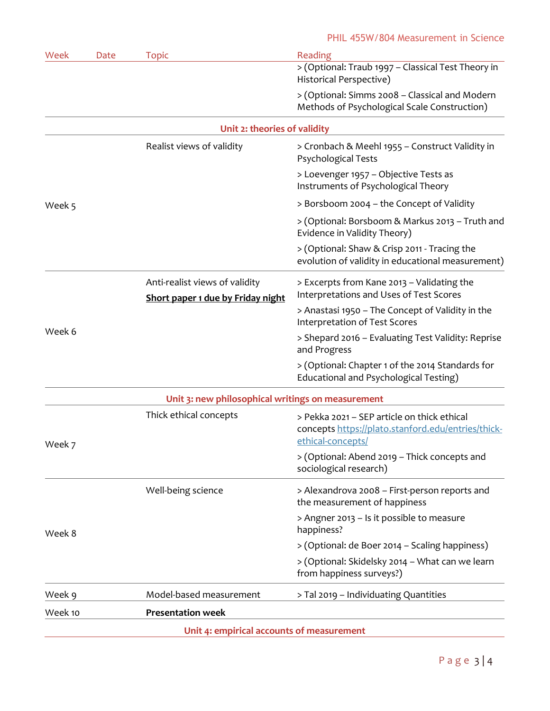| Week    | Date | <b>Topic</b>                                                        | Reading                                                                                                                |
|---------|------|---------------------------------------------------------------------|------------------------------------------------------------------------------------------------------------------------|
|         |      |                                                                     | > (Optional: Traub 1997 - Classical Test Theory in<br>Historical Perspective)                                          |
|         |      |                                                                     | > (Optional: Simms 2008 - Classical and Modern<br>Methods of Psychological Scale Construction)                         |
|         |      | Unit 2: theories of validity                                        |                                                                                                                        |
|         |      | Realist views of validity                                           | > Cronbach & Meehl 1955 - Construct Validity in<br><b>Psychological Tests</b>                                          |
| Week 5  |      |                                                                     | > Loevenger 1957 - Objective Tests as<br>Instruments of Psychological Theory                                           |
|         |      |                                                                     | > Borsboom 2004 – the Concept of Validity                                                                              |
|         |      |                                                                     | > (Optional: Borsboom & Markus 2013 – Truth and<br>Evidence in Validity Theory)                                        |
|         |      |                                                                     | > (Optional: Shaw & Crisp 2011 - Tracing the<br>evolution of validity in educational measurement)                      |
|         |      | Anti-realist views of validity<br>Short paper 1 due by Friday night | > Excerpts from Kane 2013 - Validating the<br>Interpretations and Uses of Test Scores                                  |
| Week 6  |      |                                                                     | > Anastasi 1950 – The Concept of Validity in the<br>Interpretation of Test Scores                                      |
|         |      |                                                                     | > Shepard 2016 - Evaluating Test Validity: Reprise<br>and Progress                                                     |
|         |      |                                                                     | > (Optional: Chapter 1 of the 2014 Standards for<br>Educational and Psychological Testing)                             |
|         |      | Unit 3: new philosophical writings on measurement                   |                                                                                                                        |
| Week 7  |      | Thick ethical concepts                                              | > Pekka 2021 - SEP article on thick ethical<br>concepts https://plato.stanford.edu/entries/thick-<br>ethical-concepts/ |
|         |      |                                                                     | > (Optional: Abend 2019 - Thick concepts and<br>sociological research)                                                 |
|         |      | Well-being science                                                  | > Alexandrova 2008 - First-person reports and<br>the measurement of happiness                                          |
| Week 8  |      |                                                                     | > Angner 2013 - Is it possible to measure<br>happiness?                                                                |
|         |      |                                                                     | > (Optional: de Boer 2014 - Scaling happiness)                                                                         |
|         |      |                                                                     | > (Optional: Skidelsky 2014 - What can we learn<br>from happiness surveys?)                                            |
| Week 9  |      | Model-based measurement                                             | > Tal 2019 - Individuating Quantities                                                                                  |
| Week 10 |      | <b>Presentation week</b>                                            |                                                                                                                        |
|         |      | Unit 4: empirical accounts of measurement                           |                                                                                                                        |